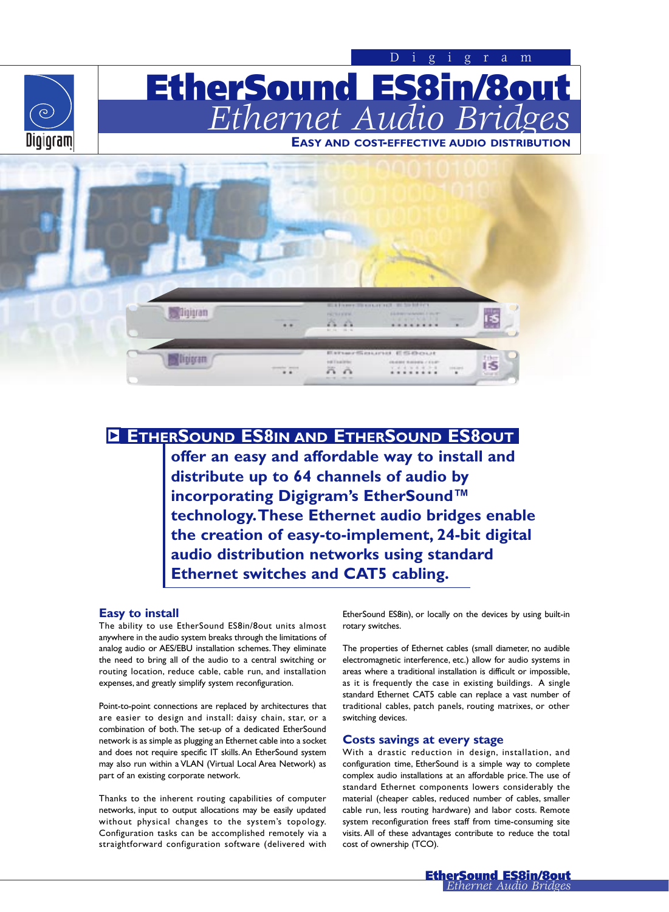

# y **ETHERSOUND ES8IN AND ETHERSOUND ES8OUT**

72

n n

. . . . . . .

**offer an easy and affordable way to install and distribute up to 64 channels of audio by incorporating Digigram's EtherSound™ technology.These Ethernet audio bridges enable the creation of easy-to-implement, 24-bit digital audio distribution networks using standard Ethernet switches and CAT5 cabling.**

### **Easy to install**

The ability to use EtherSound ES8in/8out units almost anywhere in the audio system breaks through the limitations of analog audio or AES/EBU installation schemes.They eliminate the need to bring all of the audio to a central switching or routing location, reduce cable, cable run, and installation expenses, and greatly simplify system reconfiguration.

Point-to-point connections are replaced by architectures that are easier to design and install: daisy chain, star, or a combination of both. The set-up of a dedicated EtherSound network is as simple as plugging an Ethernet cable into a socket and does not require specific IT skills.An EtherSound system may also run within a VLAN (Virtual Local Area Network) as part of an existing corporate network.

Thanks to the inherent routing capabilities of computer networks, input to output allocations may be easily updated without physical changes to the system's topology. Configuration tasks can be accomplished remotely via a straightforward configuration software (delivered with EtherSound ES8in), or locally on the devices by using built-in rotary switches.

The properties of Ethernet cables (small diameter, no audible electromagnetic interference, etc.) allow for audio systems in areas where a traditional installation is difficult or impossible, as it is frequently the case in existing buildings. A single standard Ethernet CAT5 cable can replace a vast number of traditional cables, patch panels, routing matrixes, or other switching devices.

#### **Costs savings at every stage**

With a drastic reduction in design, installation, and configuration time, EtherSound is a simple way to complete complex audio installations at an affordable price.The use of standard Ethernet components lowers considerably the material (cheaper cables, reduced number of cables, smaller cable run, less routing hardware) and labor costs. Remote system reconfiguration frees staff from time-consuming site visits. All of these advantages contribute to reduce the total cost of ownership (TCO).

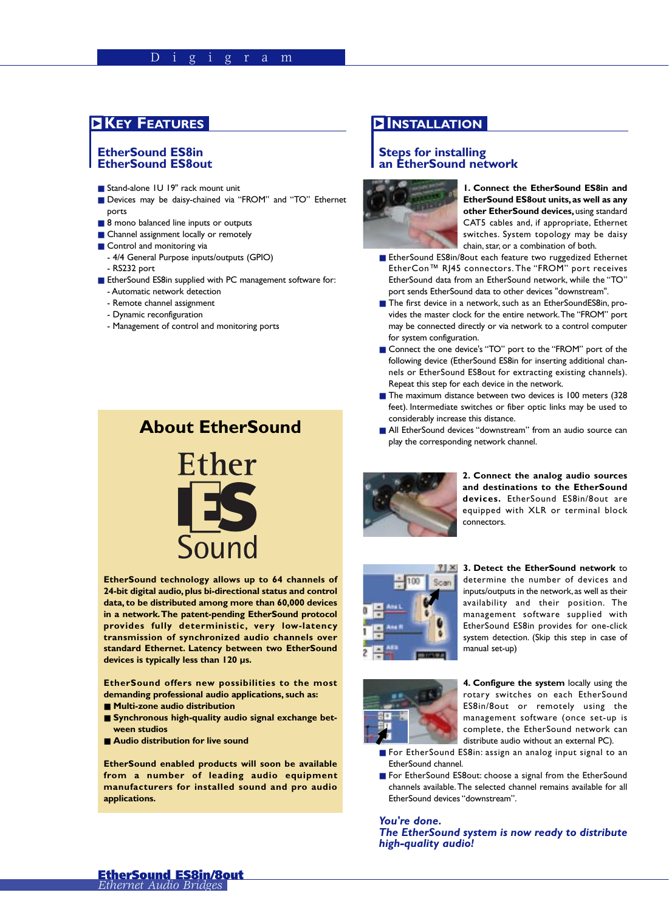# **INSTALLATION**

## **EtherSound ES8in EtherSound ES8out**

- Stand-alone 1U 19" rack mount unit
- Devices may be daisy-chained via "FROM" and "TO" Ethernet ports
- 8 mono balanced line inputs or outputs
- Channel assignment locally or remotely
- Control and monitoring via - 4/4 General Purpose inputs/outputs (GPIO) - RS232 port
- EtherSound ES8in supplied with PC management software for:
	- Automatic network detection
	- Remote channel assignment
	- Dynamic reconfiguration
	- Management of control and monitoring ports

# **About EtherSound**



**EtherSound technology allows up to 64 channels of 24-bit digital audio, plus bi-directional status and control data, to be distributed among more than 60,000 devices in a network.The patent-pending EtherSound protocol provides fully deterministic, very low-latency transmission of synchronized audio channels over standard Ethernet. Latency between two EtherSound devices is typically less than 120 µs.**

**EtherSound offers new possibilities to the most demanding professional audio applications, such as:**

- **Multi-zone audio distribution**
- Synchronous high-quality audio signal exchange bet**ween studios**
- **Audio distribution for live sound**

**EtherSound enabled products will soon be available from a number of leading audio equipment manufacturers for installed sound and pro audio applications.**

## **Steps for installing an EtherSound network**



**1. Connect the EtherSound ES8in and EtherSound ES8out units,as well as any other EtherSound devices,** using standard CAT5 cables and, if appropriate, Ethernet switches. System topology may be daisy chain, star, or a combination of both.

- EtherSound ES8in/8out each feature two ruggedized Ethernet EtherCon™ RJ45 connectors. The "FROM" port receives EtherSound data from an EtherSound network, while the "TO" port sends EtherSound data to other devices "downstream".
- The first device in a network, such as an EtherSoundES8in, provides the master clock for the entire network.The "FROM" port may be connected directly or via network to a control computer for system configuration.
- Connect the one device's "TO" port to the "FROM" port of the following device (EtherSound ES8in for inserting additional channels or EtherSound ES8out for extracting existing channels). Repeat this step for each device in the network.
- The maximum distance between two devices is 100 meters (328 feet). Intermediate switches or fiber optic links may be used to considerably increase this distance.
- All EtherSound devices "downstream" from an audio source can play the corresponding network channel.



**2. Connect the analog audio sources and destinations to the EtherSound devices.** EtherSound ES8in/8out are equipped with XLR or terminal block connectors.



**3. Detect the EtherSound network** to determine the number of devices and inputs/outputs in the network,as well as their availability and their position. The management software supplied with EtherSound ES8in provides for one-click system detection. (Skip this step in case of manual set-up)



**4. Configure the system** locally using the rotary switches on each EtherSound ES8in/8out or remotely using the management software (once set-up is complete, the EtherSound network can distribute audio without an external PC).

- For EtherSound ES8in: assign an analog input signal to an EtherSound channel.
- For EtherSound ES8out: choose a signal from the EtherSound channels available.The selected channel remains available for all EtherSound devices "downstream".

*You're done. The EtherSound system is now ready to distribute high-quality audio!*

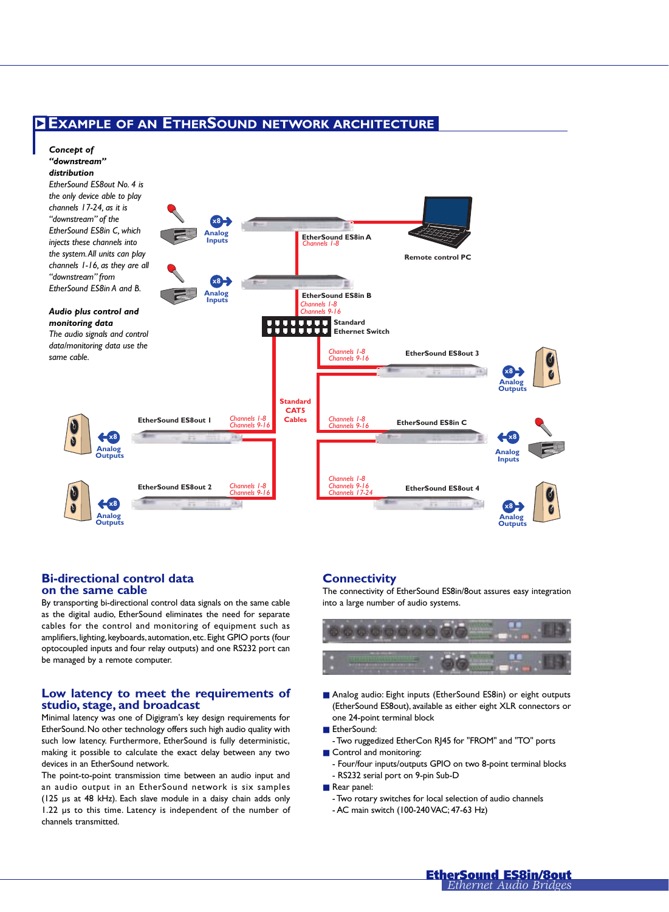# **ZEXAMPLE OF AN ETHERSOUND NETWORK ARCHITECTURE**



#### **Bi-directional control data on the same cable**

By transporting bi-directional control data signals on the same cable as the digital audio, EtherSound eliminates the need for separate cables for the control and monitoring of equipment such as amplifiers, lighting, keyboards, automation, etc. Eight GPIO ports (four optocoupled inputs and four relay outputs) and one RS232 port can be managed by a remote computer.

### **Low latency to meet the requirements of studio, stage, and broadcast**

Minimal latency was one of Digigram's key design requirements for EtherSound. No other technology offers such high audio quality with such low latency. Furthermore, EtherSound is fully deterministic, making it possible to calculate the exact delay between any two devices in an EtherSound network.

The point-to-point transmission time between an audio input and an audio output in an EtherSound network is six samples (125 µs at 48 kHz). Each slave module in a daisy chain adds only 1.22 µs to this time. Latency is independent of the number of channels transmitted.

### **Connectivity**

The connectivity of EtherSound ES8in/8out assures easy integration into a large number of audio systems.



- Analog audio: Eight inputs (EtherSound ES8in) or eight outputs (EtherSound ES8out), available as either eight XLR connectors or one 24-point terminal block
- EtherSound:
- Two ruggedized EtherCon RJ45 for "FROM" and "TO" ports
- Control and monitoring:
- Four/four inputs/outputs GPIO on two 8-point terminal blocks - RS232 serial port on 9-pin Sub-D
- Rear panel:
	- Two rotary switches for local selection of audio channels
	- AC main switch (100-240 VAC; 47-63 Hz)